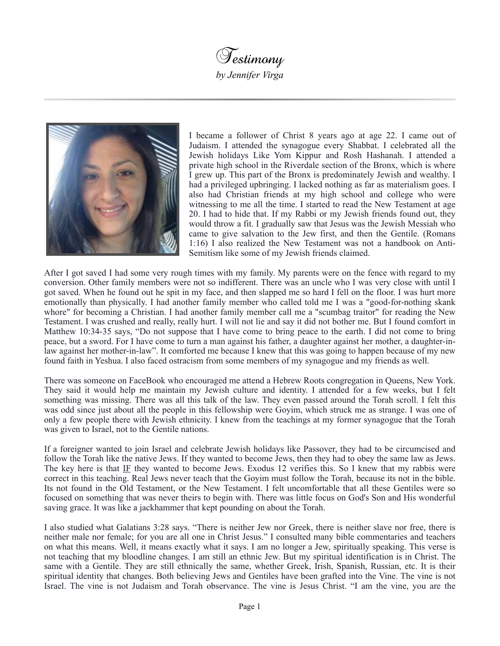



I became a follower of Christ 8 years ago at age 22. I came out of Judaism. I attended the synagogue every Shabbat. I celebrated all the Jewish holidays Like Yom Kippur and Rosh Hashanah. I attended a private high school in the Riverdale section of the Bronx, which is where I grew up. This part of the Bronx is predominately Jewish and wealthy. I had a privileged upbringing. I lacked nothing as far as materialism goes. I also had Christian friends at my high school and college who were witnessing to me all the time. I started to read the New Testament at age 20. I had to hide that. If my Rabbi or my Jewish friends found out, they would throw a fit. I gradually saw that Jesus was the Jewish Messiah who came to give salvation to the Jew first, and then the Gentile. (Romans 1:16) I also realized the New Testament was not a handbook on Anti-Semitism like some of my Jewish friends claimed.

After I got saved I had some very rough times with my family. My parents were on the fence with regard to my conversion. Other family members were not so indifferent. There was an uncle who I was very close with until I got saved. When he found out he spit in my face, and then slapped me so hard I fell on the floor. I was hurt more emotionally than physically. I had another family member who called told me I was a "good-for-nothing skank whore" for becoming a Christian. I had another family member call me a "scumbag traitor" for reading the New Testament. I was crushed and really, really hurt. I will not lie and say it did not bother me. But I found comfort in Matthew 10:34-35 says, "Do not suppose that I have come to bring peace to the earth. I did not come to bring peace, but a sword. For I have come to turn a man against his father, a daughter against her mother, a daughter-inlaw against her mother-in-law". It comforted me because I knew that this was going to happen because of my new found faith in Yeshua. I also faced ostracism from some members of my synagogue and my friends as well.

There was someone on FaceBook who encouraged me attend a Hebrew Roots congregation in Queens, New York. They said it would help me maintain my Jewish culture and identity. I attended for a few weeks, but I felt something was missing. There was all this talk of the law. They even passed around the Torah scroll. I felt this was odd since just about all the people in this fellowship were Goyim, which struck me as strange. I was one of only a few people there with Jewish ethnicity. I knew from the teachings at my former synagogue that the Torah was given to Israel, not to the Gentile nations.

If a foreigner wanted to join Israel and celebrate Jewish holidays like Passover, they had to be circumcised and follow the Torah like the native Jews. If they wanted to become Jews, then they had to obey the same law as Jews. The key here is that IF they wanted to become Jews. Exodus 12 verifies this. So I knew that my rabbis were correct in this teaching. Real Jews never teach that the Goyim must follow the Torah, because its not in the bible. Its not found in the Old Testament, or the New Testament. I felt uncomfortable that all these Gentiles were so focused on something that was never theirs to begin with. There was little focus on God's Son and His wonderful saving grace. It was like a jackhammer that kept pounding on about the Torah.

I also studied what Galatians 3:28 says. "There is neither Jew nor Greek, there is neither slave nor free, there is neither male nor female; for you are all one in Christ Jesus." I consulted many bible commentaries and teachers on what this means. Well, it means exactly what it says. I am no longer a Jew, spiritually speaking. This verse is not teaching that my bloodline changes. I am still an ethnic Jew. But my spiritual identification is in Christ. The same with a Gentile. They are still ethnically the same, whether Greek, Irish, Spanish, Russian, etc. It is their spiritual identity that changes. Both believing Jews and Gentiles have been grafted into the Vine. The vine is not Israel. The vine is not Judaism and Torah observance. The vine is Jesus Christ. "I am the vine, you are the